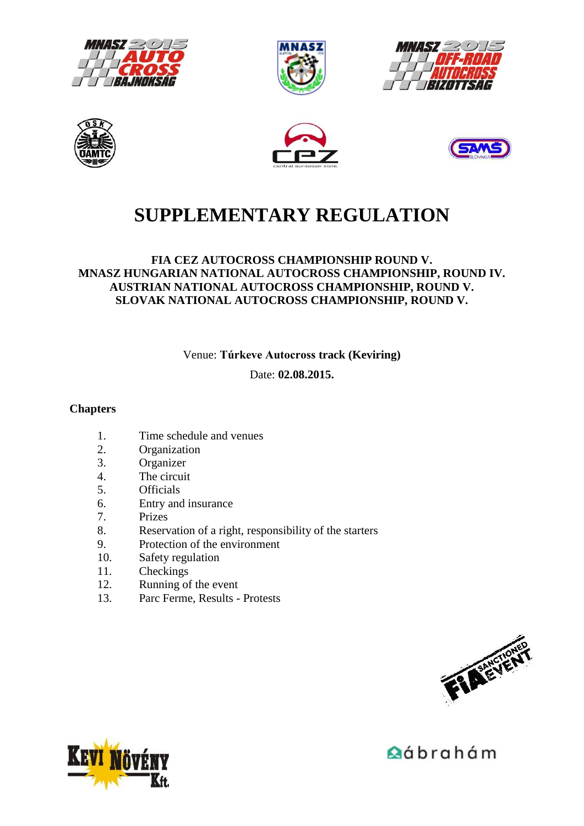











# **SUPPLEMENTARY REGULATION**

#### **FIA CEZ AUTOCROSS CHAMPIONSHIP ROUND V. MNASZ HUNGARIAN NATIONAL AUTOCROSS CHAMPIONSHIP, ROUND IV. AUSTRIAN NATIONAL AUTOCROSS CHAMPIONSHIP, ROUND V. SLOVAK NATIONAL AUTOCROSS CHAMPIONSHIP, ROUND V.**

Venue: **Túrkeve Autocross track (Keviring)**

Date: **02.08.2015.** 

#### **Chapters**

- 1. Time schedule and venues
- 2. Organization
- 3. Organizer
- 4. The circuit<br>5. Officials
- **Officials**
- 6. Entry and insurance
- 7. Prizes
- 8. Reservation of a right, responsibility of the starters
- 9. Protection of the environment
- 10. Safety regulation
- 11. Checkings
- 12. Running of the event
- 13. Parc Ferme, Results Protests





**A**ábrahám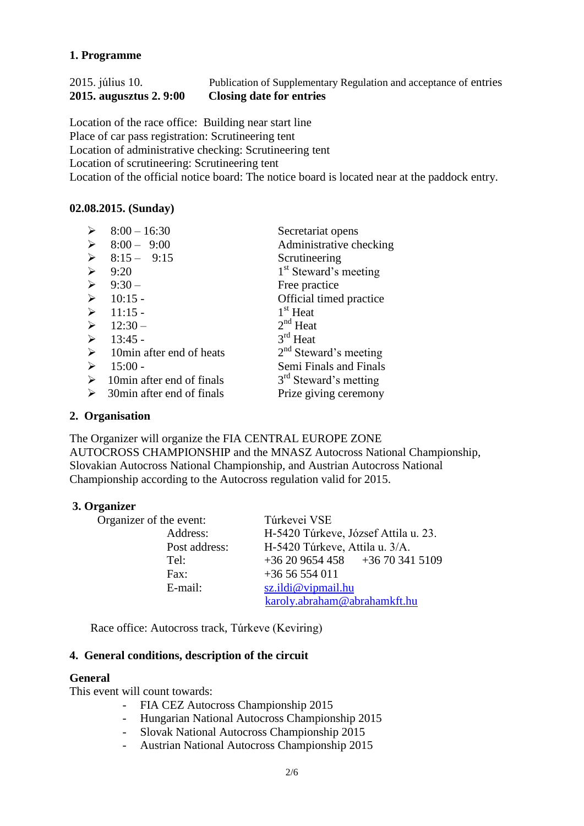### **1. Programme**

#### 2015. július 10. Publication of Supplementary Regulation and acceptance of entries **2015. augusztus 2. 9:00 Closing date for entries**

Location of the race office: Building near start line Place of car pass registration: Scrutineering tent Location of administrative checking: Scrutineering tent Location of scrutineering: Scrutineering tent Location of the official notice board: The notice board is located near at the paddock entry.

#### **02.08.2015. (Sunday)**

| $\blacktriangleright$ | $8:00 - 16:30$             | Secretariat opens                 |
|-----------------------|----------------------------|-----------------------------------|
| $\blacktriangleright$ | $8:00 - 9:00$              | Administrative checking           |
| $\blacktriangleright$ | $8:15 - 9:15$              | Scrutineering                     |
| $\blacktriangleright$ | 9:20                       | 1 <sup>st</sup> Steward's meeting |
| $\blacktriangleright$ | $9:30-$                    | Free practice                     |
| $\blacktriangleright$ | $10:15 -$                  | Official timed practice           |
| $\blacktriangleright$ | $11:15 -$                  | $1st$ Heat                        |
| $\blacktriangleright$ | $12:30-$                   | $2nd$ Heat                        |
| $\blacktriangleright$ | $13:45$ -                  | $3rd$ Heat                        |
| $\blacktriangleright$ | 10 min after end of heats  | $2nd$ Steward's meeting           |
| $\blacktriangleright$ | $15:00 -$                  | Semi Finals and Finals            |
| ➤                     | 10min after end of finals  | 3 <sup>rd</sup> Steward's metting |
| ≻                     | 30 min after end of finals | Prize giving ceremony             |

#### **2. Organisation**

The Organizer will organize the FIA CENTRAL EUROPE ZONE AUTOCROSS CHAMPIONSHIP and the MNASZ Autocross National Championship, Slovakian Autocross National Championship, and Austrian Autocross National Championship according to the Autocross regulation valid for 2015.

#### **3. Organizer**

| Organizer of the event: | Túrkevei VSE                         |  |
|-------------------------|--------------------------------------|--|
| Address:                | H-5420 Túrkeve, József Attila u. 23. |  |
| Post address:           | H-5420 Túrkeve, Attila u. 3/A.       |  |
| Tel:                    | $+36209654458$ $+36703415109$        |  |
| Fax:                    | $+3656554011$                        |  |
| E-mail:                 | sz.ildi@vipmail.hu                   |  |
|                         | karoly.abraham@abrahamkft.hu         |  |

Race office: Autocross track, Túrkeve (Keviring)

#### **4. General conditions, description of the circuit**

#### **General**

This event will count towards:

- FIA CEZ Autocross Championship 2015
- Hungarian National Autocross Championship 2015
- Slovak National Autocross Championship 2015
- Austrian National Autocross Championship 2015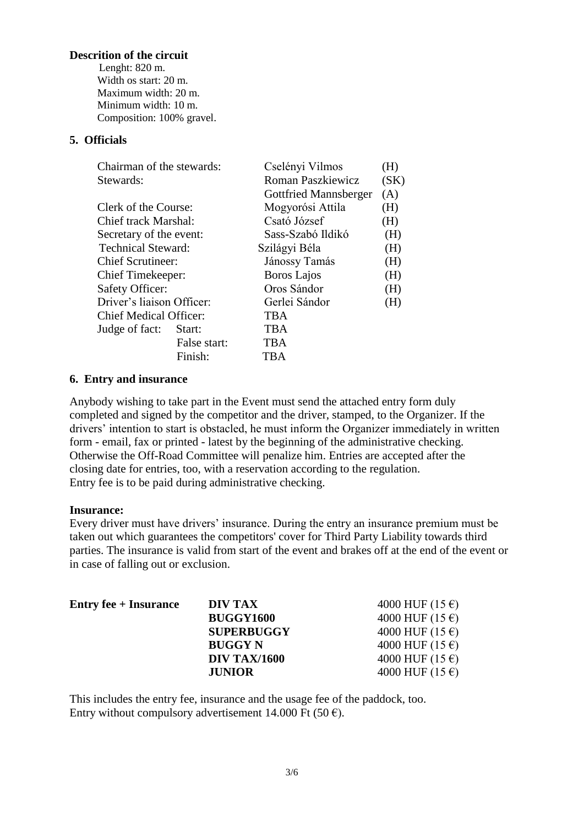#### **Descrition of the circuit**

 Lenght: 820 m. Width os start: 20 m. Maximum width: 20 m. Minimum width: 10 m. Composition: 100% gravel.

#### **5. Officials**

|  | Chairman of the stewards:                                  |              | Cselényi Vilmos              | (H)  |
|--|------------------------------------------------------------|--------------|------------------------------|------|
|  | Stewards:                                                  |              | Roman Paszkiewicz            | (SK) |
|  |                                                            |              | <b>Gottfried Mannsberger</b> | (A)  |
|  | Clerk of the Course:                                       |              | Mogyorósi Attila             | (H)  |
|  | Chief track Marshal:                                       |              | Csató József                 | (H)  |
|  | Secretary of the event:                                    |              | Sass-Szabó Ildikó            | (H)  |
|  | <b>Technical Steward:</b>                                  |              | Szilágyi Béla                | (H)  |
|  | <b>Chief Scrutineer:</b>                                   |              | Jánossy Tamás                | (H)  |
|  | Chief Timekeeper:                                          |              | Boros Lajos                  | (H)  |
|  | <b>Safety Officer:</b>                                     |              | Oros Sándor                  | (H)  |
|  | Driver's liaison Officer:<br><b>Chief Medical Officer:</b> |              | Gerlei Sándor                | (H)  |
|  |                                                            |              | TBA                          |      |
|  | Judge of fact:                                             | Start:       | TBA                          |      |
|  |                                                            | False start: | <b>TBA</b>                   |      |
|  |                                                            | Finish:      | TBA                          |      |
|  |                                                            |              |                              |      |

#### **6. Entry and insurance**

Anybody wishing to take part in the Event must send the attached entry form duly completed and signed by the competitor and the driver, stamped, to the Organizer. If the drivers' intention to start is obstacled, he must inform the Organizer immediately in written form - email, fax or printed - latest by the beginning of the administrative checking. Otherwise the Off-Road Committee will penalize him. Entries are accepted after the closing date for entries, too, with a reservation according to the regulation. Entry fee is to be paid during administrative checking.

#### **Insurance:**

Every driver must have drivers' insurance. During the entry an insurance premium must be taken out which guarantees the competitors' cover for Third Party Liability towards third parties. The insurance is valid from start of the event and brakes off at the end of the event or in case of falling out or exclusion.

| <b>Entry fee</b> + <b>Insurance</b> | DIV TAX             | 4000 HUF $(15 \epsilon)$ |
|-------------------------------------|---------------------|--------------------------|
|                                     | <b>BUGGY1600</b>    | 4000 HUF $(15 \epsilon)$ |
|                                     | <b>SUPERBUGGY</b>   | 4000 HUF $(15 \epsilon)$ |
|                                     | <b>BUGGY N</b>      | 4000 HUF $(15 \epsilon)$ |
|                                     | <b>DIV TAX/1600</b> | 4000 HUF $(15 \epsilon)$ |
|                                     | <b>JUNIOR</b>       | 4000 HUF $(15 \epsilon)$ |

This includes the entry fee, insurance and the usage fee of the paddock, too. Entry without compulsory advertisement 14.000 Ft (50  $\epsilon$ ).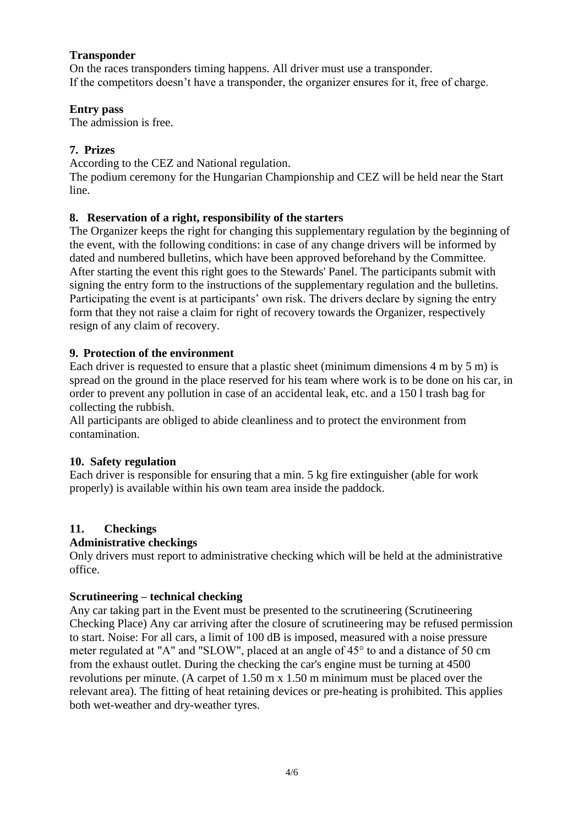#### **Transponder**

On the races transponders timing happens. All driver must use a transponder. If the competitors doesn't have a transponder, the organizer ensures for it, free of charge.

#### **Entry pass**

The admission is free.

## **7. Prizes**

According to the CEZ and National regulation.

The podium ceremony for the Hungarian Championship and CEZ will be held near the Start line.

### **8. Reservation of a right, responsibility of the starters**

The Organizer keeps the right for changing this supplementary regulation by the beginning of the event, with the following conditions: in case of any change drivers will be informed by dated and numbered bulletins, which have been approved beforehand by the Committee. After starting the event this right goes to the Stewards' Panel. The participants submit with signing the entry form to the instructions of the supplementary regulation and the bulletins. Participating the event is at participants' own risk. The drivers declare by signing the entry form that they not raise a claim for right of recovery towards the Organizer, respectively resign of any claim of recovery.

### **9. Protection of the environment**

Each driver is requested to ensure that a plastic sheet (minimum dimensions 4 m by 5 m) is spread on the ground in the place reserved for his team where work is to be done on his car, in order to prevent any pollution in case of an accidental leak, etc. and a 150 l trash bag for collecting the rubbish.

All participants are obliged to abide cleanliness and to protect the environment from contamination.

#### **10. Safety regulation**

Each driver is responsible for ensuring that a min. 5 kg fire extinguisher (able for work properly) is available within his own team area inside the paddock.

# **11. Checkings**

# **Administrative checkings**

Only drivers must report to administrative checking which will be held at the administrative office.

#### **Scrutineering – technical checking**

Any car taking part in the Event must be presented to the scrutineering (Scrutineering Checking Place) Any car arriving after the closure of scrutineering may be refused permission to start. Noise: For all cars, a limit of 100 dB is imposed, measured with a noise pressure meter regulated at "A" and "SLOW", placed at an angle of 45° to and a distance of 50 cm from the exhaust outlet. During the checking the car's engine must be turning at 4500 revolutions per minute. (A carpet of 1.50 m x 1.50 m minimum must be placed over the relevant area). The fitting of heat retaining devices or pre-heating is prohibited. This applies both wet-weather and dry-weather tyres.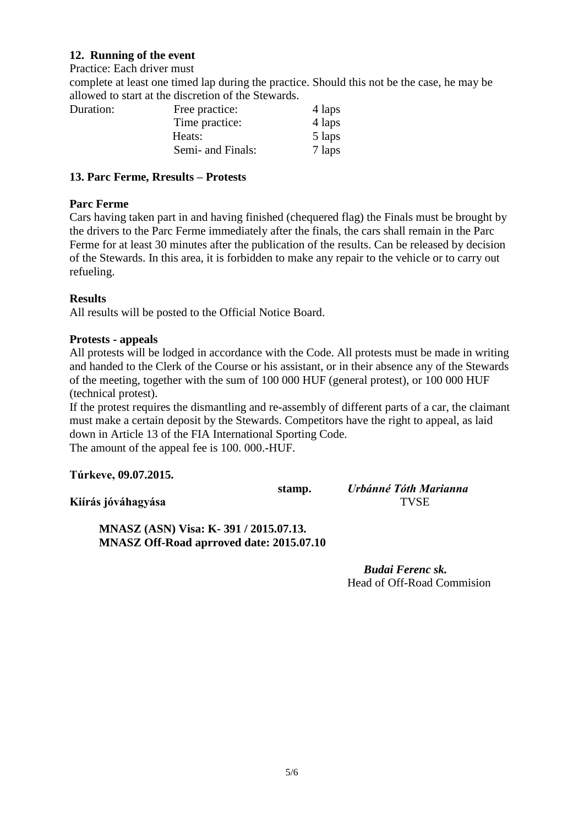#### **12. Running of the event**

Practice: Each driver must

complete at least one timed lap during the practice. Should this not be the case, he may be allowed to start at the discretion of the Stewards.

| Duration: | Free practice:    | 4 laps |
|-----------|-------------------|--------|
|           | Time practice:    | 4 laps |
|           | Heats:            | 5 laps |
|           | Semi- and Finals: | 7 laps |

#### **13. Parc Ferme, Rresults – Protests**

### **Parc Ferme**

Cars having taken part in and having finished (chequered flag) the Finals must be brought by the drivers to the Parc Ferme immediately after the finals, the cars shall remain in the Parc Ferme for at least 30 minutes after the publication of the results. Can be released by decision of the Stewards. In this area, it is forbidden to make any repair to the vehicle or to carry out refueling.

### **Results**

All results will be posted to the Official Notice Board.

#### **Protests - appeals**

All protests will be lodged in accordance with the Code. All protests must be made in writing and handed to the Clerk of the Course or his assistant, or in their absence any of the Stewards of the meeting, together with the sum of 100 000 HUF (general protest), or 100 000 HUF (technical protest).

If the protest requires the dismantling and re-assembly of different parts of a car, the claimant must make a certain deposit by the Stewards. Competitors have the right to appeal, as laid down in Article 13 of the FIA International Sporting Code. The amount of the appeal fee is 100. 000.-HUF.

#### **Túrkeve, 09.07.2015.**

**Kiírás jóváhagyása** TVSE

**stamp.** *Urbánné Tóth Marianna* 

 **MNASZ (ASN) Visa: K- 391 / 2015.07.13. MNASZ Off-Road aprroved date: 2015.07.10**

> *Budai Ferenc sk.* Head of Off-Road Commision